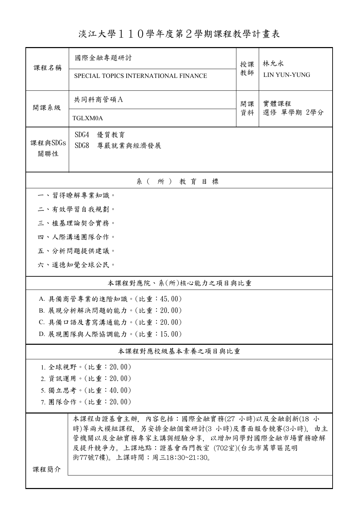淡江大學110學年度第2學期課程教學計畫表

| 課程名稱                                                    | 國際金融專題研討<br>SPECIAL TOPICS INTERNATIONAL FINANCE                                                                                                                                                   | 授課<br>教師 | 林允永<br>LIN YUN-YUNG |  |  |  |
|---------------------------------------------------------|----------------------------------------------------------------------------------------------------------------------------------------------------------------------------------------------------|----------|---------------------|--|--|--|
| 開課系級                                                    | 共同科商管碩A                                                                                                                                                                                            | 開課<br>資料 | 實體課程<br>選修 單學期 2學分  |  |  |  |
| 課程與SDGs<br>關聯性                                          | TGLXM0A<br>SDG4<br>優質教育<br>SDG8<br>尊嚴就業與經濟發展                                                                                                                                                       |          |                     |  |  |  |
| 系(所)教育目標                                                |                                                                                                                                                                                                    |          |                     |  |  |  |
|                                                         | 一、習得瞭解專業知識。                                                                                                                                                                                        |          |                     |  |  |  |
|                                                         | 二、有效學習自我規劃。                                                                                                                                                                                        |          |                     |  |  |  |
|                                                         | 三、植基理論契合實務。                                                                                                                                                                                        |          |                     |  |  |  |
|                                                         | 四、人際溝通團隊合作。                                                                                                                                                                                        |          |                     |  |  |  |
|                                                         | 五、分析問題提供建議。                                                                                                                                                                                        |          |                     |  |  |  |
|                                                         | 六、道德知覺全球公民。                                                                                                                                                                                        |          |                     |  |  |  |
|                                                         | 本課程對應院、系(所)核心能力之項目與比重                                                                                                                                                                              |          |                     |  |  |  |
|                                                         | A. 具備商管專業的進階知識。(比重:45.00)                                                                                                                                                                          |          |                     |  |  |  |
|                                                         | B. 展現分析解決問題的能力。(比重: 20.00)                                                                                                                                                                         |          |                     |  |  |  |
| C. 具備口語及書寫溝通能力。(比重: 20.00)<br>D. 展現團隊與人際協調能力。(比重:15.00) |                                                                                                                                                                                                    |          |                     |  |  |  |
|                                                         | 本課程對應校級基本素養之項目與比重                                                                                                                                                                                  |          |                     |  |  |  |
|                                                         |                                                                                                                                                                                                    |          |                     |  |  |  |
| 1. 全球視野。(比重: 20.00)<br>2. 資訊運用。(比重: 20.00)              |                                                                                                                                                                                                    |          |                     |  |  |  |
| 5. 獨立思考。(比重:40.00)                                      |                                                                                                                                                                                                    |          |                     |  |  |  |
| 7. 團隊合作。(比重: 20.00)                                     |                                                                                                                                                                                                    |          |                     |  |  |  |
| 課程簡介                                                    | 本課程由證基會主辦,內容包括:國際金融實務(27 小時)以及金融創新(18 小<br>時)等兩大模組課程, 另安排金融個案研討(3 小時)及書面報告競賽(3小時), 由主<br>管機關以及金融實務專家主講與經驗分享,以增加同學對國際金融市場實務瞭解<br>及提升競爭力。上課地點:證基會西門教室 (702室)(台北市萬華區昆明<br>街77號7樓)。上課時間:周三18:30~21:30。 |          |                     |  |  |  |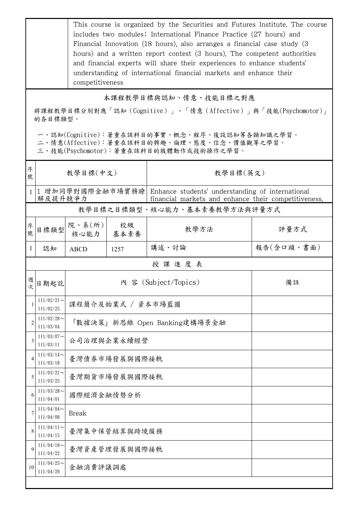|                | This course is organized by the Securities and Futures Institute. The course<br>includes two modules: International Finance Practice (27 hours) and<br>Financial Innovation (18 hours), also arranges a financial case study (3<br>hours) and a written report contest (3 hours). The competent authorities<br>and financial experts will share their experiences to enhance students'<br>understanding of international financial markets and enhance their<br>competitiveness |                              |            |          |            |  |  |  |
|----------------|---------------------------------------------------------------------------------------------------------------------------------------------------------------------------------------------------------------------------------------------------------------------------------------------------------------------------------------------------------------------------------------------------------------------------------------------------------------------------------|------------------------------|------------|----------|------------|--|--|--|
|                | 本課程教學目標與認知、情意、技能目標之對應<br>將課程教學目標分別對應「認知(Cognitive)」、「情意(Affective)」與「技能(Psychomotor)」<br>的各目標類型。<br>一、認知(Cognitive):著重在該科目的事實、概念、程序、後設認知等各類知識之學習。<br>二、情意(Affective):著重在該科目的興趣、倫理、態度、信念、價值觀等之學習。<br>三、技能(Psychomotor):著重在該科目的肢體動作或技術操作之學習。                                                                                                                                                                                                                                      |                              |            |          |            |  |  |  |
| 序<br>號         |                                                                                                                                                                                                                                                                                                                                                                                                                                                                                 | 教學目標(中文)                     |            | 教學目標(英文) |            |  |  |  |
|                | 1 1 增加同學對國際金融市場實務瞭 <br>Enhance students' understanding of international<br>解及提升競爭力<br>financial markets and enhance their competitiveness.                                                                                                                                                                                                                                                                                                                                      |                              |            |          |            |  |  |  |
|                | 教學目標之目標類型、核心能力、基本素養教學方法與評量方式                                                                                                                                                                                                                                                                                                                                                                                                                                                    |                              |            |          |            |  |  |  |
| 序號             | 目標類型                                                                                                                                                                                                                                                                                                                                                                                                                                                                            | 院、系(所)<br>核心能力               | 校級<br>基本素養 | 教學方法     | 評量方式       |  |  |  |
| $\mathbf{1}$   | 認知                                                                                                                                                                                                                                                                                                                                                                                                                                                                              | <b>ABCD</b>                  | 1257       | 講述、討論    | 報告(含口頭、書面) |  |  |  |
|                | 授課進度表                                                                                                                                                                                                                                                                                                                                                                                                                                                                           |                              |            |          |            |  |  |  |
| 週次             | 日期起訖                                                                                                                                                                                                                                                                                                                                                                                                                                                                            | 內 容 (Subject/Topics)         |            |          | 備註         |  |  |  |
| -1             | $111/02/21$ ~<br>111/02/25                                                                                                                                                                                                                                                                                                                                                                                                                                                      | 課程簡介及始業式 / 資本市場藍圖            |            |          |            |  |  |  |
| $\overline{2}$ | $111/02/28$ ~<br>111/03/04                                                                                                                                                                                                                                                                                                                                                                                                                                                      | 「數據決策」新思維 Open Banking建構場景金融 |            |          |            |  |  |  |
| 3              | $111/03/07$ ~<br>111/03/11                                                                                                                                                                                                                                                                                                                                                                                                                                                      | 公司治理與企業永續經營                  |            |          |            |  |  |  |
| $\overline{4}$ | $111/03/14$ ~<br>111/03/18                                                                                                                                                                                                                                                                                                                                                                                                                                                      | 臺灣債券市場發展與國際接軌                |            |          |            |  |  |  |
| 5              | $111/03/21$ ~<br>111/03/25                                                                                                                                                                                                                                                                                                                                                                                                                                                      | 臺灣期貨市場發展與國際接軌                |            |          |            |  |  |  |
| 6              | $111/03/28$ ~<br>111/04/01                                                                                                                                                                                                                                                                                                                                                                                                                                                      | 國際經濟金融情勢分析                   |            |          |            |  |  |  |
| 7              | $111/04/04$ ~<br>111/04/08                                                                                                                                                                                                                                                                                                                                                                                                                                                      | <b>Break</b>                 |            |          |            |  |  |  |
| 8              | $111/04/11$ ~<br>111/04/15                                                                                                                                                                                                                                                                                                                                                                                                                                                      | 臺灣集中保管結算與跨境服務                |            |          |            |  |  |  |
| 9              | $111/04/18$ ~<br>111/04/22                                                                                                                                                                                                                                                                                                                                                                                                                                                      | 臺灣資產管理發展與國際接軌                |            |          |            |  |  |  |
| 10             | $111/04/25$ ~<br>111/04/29                                                                                                                                                                                                                                                                                                                                                                                                                                                      | 金融消費評議調處                     |            |          |            |  |  |  |
|                |                                                                                                                                                                                                                                                                                                                                                                                                                                                                                 |                              |            |          |            |  |  |  |